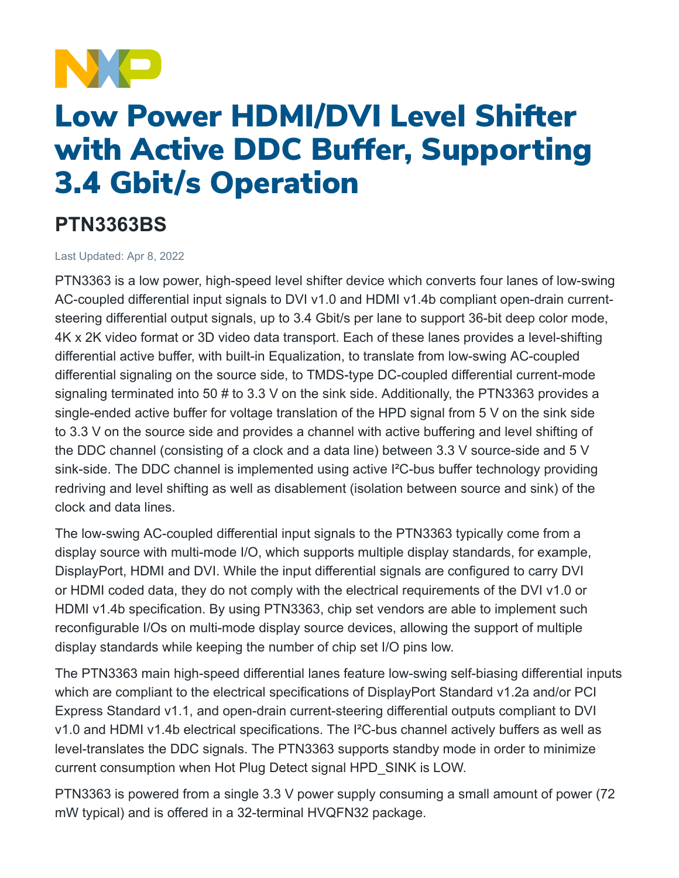

## Low Power HDMI/DVI Level Shifter with Active DDC Buffer, Supporting 3.4 Gbit/s Operation

## **PTN3363BS**

Last Updated: Apr 8, 2022

PTN3363 is a low power, high-speed level shifter device which converts four lanes of low-swing AC-coupled differential input signals to DVI v1.0 and HDMI v1.4b compliant open-drain currentsteering differential output signals, up to 3.4 Gbit/s per lane to support 36-bit deep color mode, 4K x 2K video format or 3D video data transport. Each of these lanes provides a level-shifting differential active buffer, with built-in Equalization, to translate from low-swing AC-coupled differential signaling on the source side, to TMDS-type DC-coupled differential current-mode signaling terminated into 50 # to 3.3 V on the sink side. Additionally, the PTN3363 provides a single-ended active buffer for voltage translation of the HPD signal from 5 V on the sink side to 3.3 V on the source side and provides a channel with active buffering and level shifting of the DDC channel (consisting of a clock and a data line) between 3.3 V source-side and 5 V sink-side. The DDC channel is implemented using active I<sup>2</sup>C-bus buffer technology providing redriving and level shifting as well as disablement (isolation between source and sink) of the clock and data lines.

The low-swing AC-coupled differential input signals to the PTN3363 typically come from a display source with multi-mode I/O, which supports multiple display standards, for example, DisplayPort, HDMI and DVI. While the input differential signals are configured to carry DVI or HDMI coded data, they do not comply with the electrical requirements of the DVI v1.0 or HDMI v1.4b specification. By using PTN3363, chip set vendors are able to implement such reconfigurable I/Os on multi-mode display source devices, allowing the support of multiple display standards while keeping the number of chip set I/O pins low.

The PTN3363 main high-speed differential lanes feature low-swing self-biasing differential inputs which are compliant to the electrical specifications of DisplayPort Standard v1.2a and/or PCI Express Standard v1.1, and open-drain current-steering differential outputs compliant to DVI v1.0 and HDMI v1.4b electrical specifications. The I²C-bus channel actively buffers as well as level-translates the DDC signals. The PTN3363 supports standby mode in order to minimize current consumption when Hot Plug Detect signal HPD\_SINK is LOW.

PTN3363 is powered from a single 3.3 V power supply consuming a small amount of power (72 mW typical) and is offered in a 32-terminal HVQFN32 package.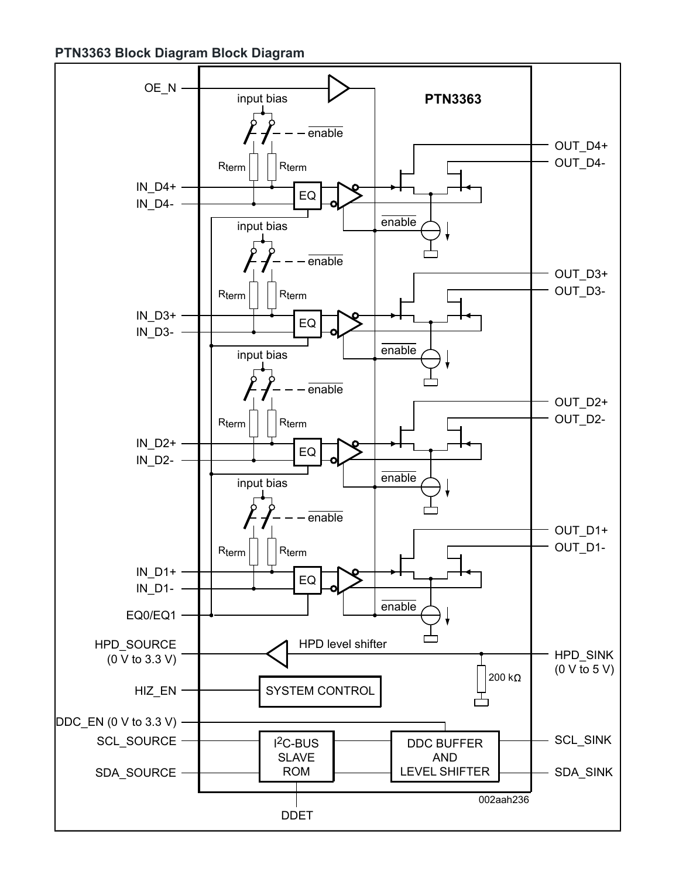**PTN3363 Block Diagram Block Diagram**